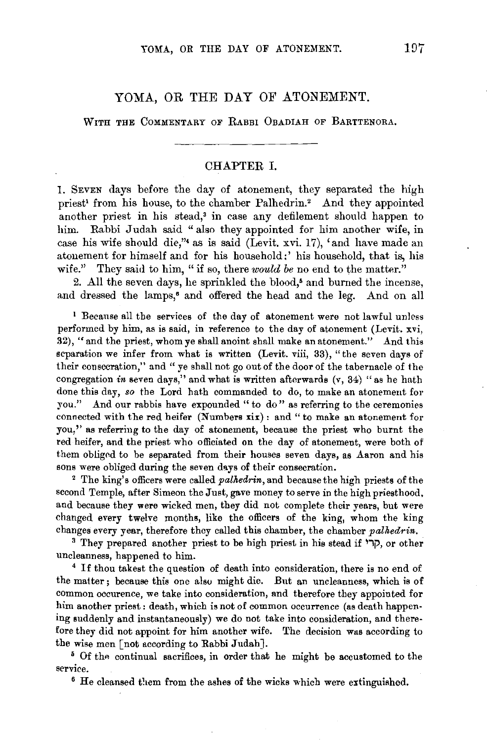## YOMA, OR THE DAY OF ATONEMENT.

WITH THE COMMENTARY OF RABBI OBADIAH OF BARTTENORA.

## CHAPTER I.

1. SEVEN days before the day of atonement, they separated the high priest<sup>1</sup> from his house, to the chamber Palhedrin.<sup>2</sup> And they appointed another priest in his stead,• in case any defilement should happen to him. Rabbi Judah said "also they appointed for him another wife, in case his wife should die,"• as is said (Levit. xvi. 17), 'and have made an atonement for himself and for his household:' his household, that is, his wife." They said to him, "if so, there *would be* no end to the matter."

2. All the seven days, he sprinkled the blood,• and burned the incense, and dressed the lamps,<sup>6</sup> and offered the head and the leg. And on all

1 Because all the services of the day of atonement were not lawful unless performed by him, as is said, in reference to the day of atonement (Levit. xvi, 32), "and the priest, whom ye shall anoint shall make an atonement." And this separation we infer from what is written (Levit. viii, 33), "the seven days of their consecration," and " ye shall not go out of the door of the tabernacle of the congregation *in* seven days," and what is written afterwards (v, 34) " as he hath done this day, *so* the Lord hath commanded to do, to make an atonement for you." And our rabbis have expounded "to do" as referring to the ceremonies connected with the red heifer (Numbers xix): and" to make an atonement for you,'' as referring to the day of atonement, because the priest who burnt the red heifer, and the priest who officiated on the day of atonement, were both of them obligod to be separated from their houses seven days, as Aaron and his sons were obliged during the seven days of their consecration. 2 The king's officers were called *palltedrin,* and because the high priests of the

second Temple, after Simeon the Just, gave money to serve in the high priesthood, and because they were wicked men, they did not complete their years, but were changed every twelve months, like the officers of the king, whom the king changes every year, therefore they called this chamber, the chamber *palhedrin*.

<sup>3</sup> They prepared another priest to be high priest in his stead if ' $\Box$ , or other uncleanness, happened to him. 4 If thou takest the question of death into consideration, there is no end of

the matter; because this one also might die. But an uncleanness, which is of common occurence, we take into consideration, and therefore they appointed for him another priest: death, which is not of common occurrence (as death happening suddenly and instantaneously) we do not take into consideration, and therefore they did not appoint for him another wife. The decision was according to

the wise men [not according to Rabbi Judah].<br> $5$  Of the continual sacrifices, in order that he might be accustomed to the service.<br><sup>6</sup> He cleansed them from the ashes of the wicks which were extinguished.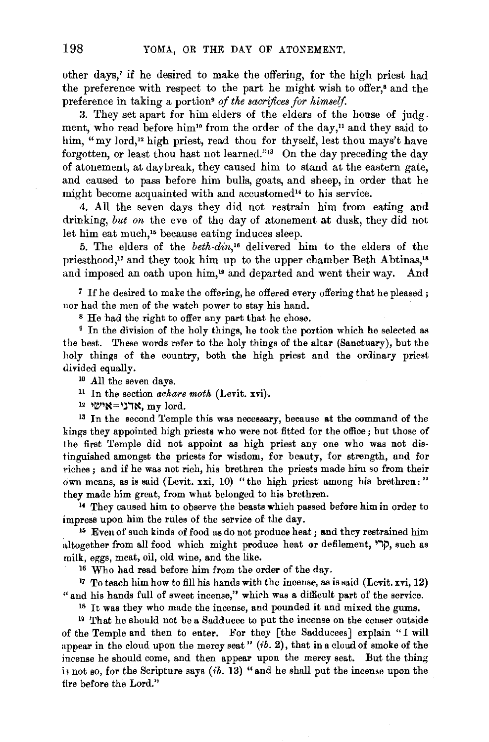other days,' if he desired to make the offering, for the high priest had the preference with respect to the part he might wish to offer,• and the preference in taking a portion<sup>®</sup> of the sacrifices for himself.

3. They set apart for him elders of the elders of the house of judg. ment, who read before him<sup>10</sup> from the order of the day,<sup>11</sup> and they said to him, "my lord," high priest, read thou for thyself, lest thou mays't have forgotten, or least thou hast not learned."13 On the day preceding the day of atonement, at daybreak, they caused him to stand at the eastern gate, and caused to pass before him bulls, goats, and sheep, in order that he might become acquainted with and accustomed" to his service.

4. All the seven days they did not restrain him from eating and drinking, *but on* the eve of the day of atonement at dusk, they did not let him eat much,<sup>15</sup> because eating induces sleep.

5. The elders of the *beth-din,'6* delivered him to the elders of the priesthood,<sup>17</sup> and they took him up to the upper chamber Beth Abtinas,<sup>18</sup> and imposed an oath upon him,<sup>19</sup> and departed and went their way. And

<sup>7</sup>If he desired to make the offering, he offered every offering that he pleased ; nor had the men of the watch power to stay his hand.

s He had the right to offer any part that he chose. 9 In the division of the holy things, he took the portion which he selected as the best. These words refer to the holy things of the altar (Sanctuary), but the holy things of the country, both the high priest and the ordinary priest divided equally.

<sup>10</sup> All the seven days.<br><sup>11</sup> In the section *achare moth* (Levit. xvi).

12 ערני =אישי $\mathbf{m}_{\mathbf{y}}$  hord.

<sup>13</sup> In the second Temple this was necessary, because at the command of the kings they appointed high priests who were not fitted for the office; but those of the first Temple did not appoint as high priest any one who was not distinguished amongst the priests for wisdom, for beauty, for strength, and for riches ; and if he was not rich, his brethren the priests made him so from their own means, as is said (Levit. xxi, 10) "the high priest among his brethren: " they made him great, from what belonged to his brethren. 1• They caused him to observe the beasts which passed before him in order to

impress upon him the rules of the service of the day.<br><sup>15</sup> Even of such kinds of food as do not produce heat; and they restrained him

altogether from all food which might produce heat or defilement, קרי, such as milk, eggs, meat, oil, old wine, and the like.

16 Who had read before him from the order of the day.

17 To teach him how to fill his hands with the incense, as is said (Levit. xvi, 12) " and his hands full of sweet incense," which was a difficult part of the service.

<sup>18</sup> It was they who made the incense, and pounded it and mixed the gums.

19 That he should not be a Sadducee to put the incense on the censer outside of the Temple and then to enter. For they [the Sadducees] explain "I will appear in the cloud upon the mercy seat" (ib. 2), that in a cloud of smoke of the incense he should come, and then appear upon the mercy seat. But the thing is not so, for the Scripture says  $(ib. 13)$  "and he shall put the incense upon the fire before the Lord."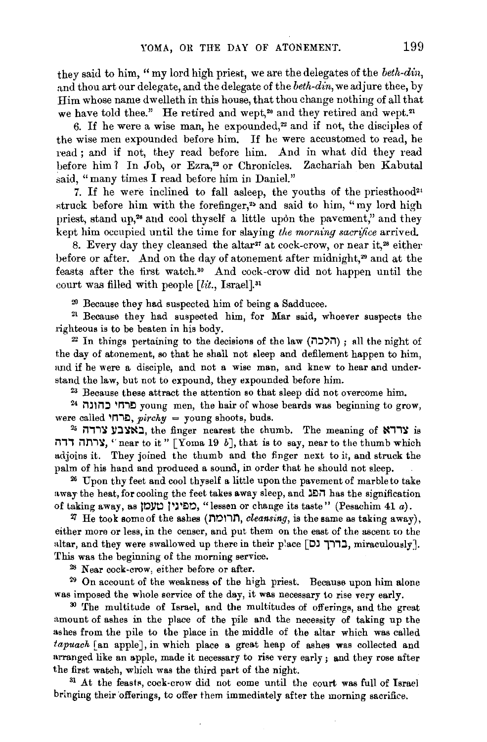they said to him, "my lord high priest, we are the delegates of the *beth-din,*  and thou art our delegate, and the delegate of the *beth-din,* we adjure thee, by Him whose name dwelleth in this house, that thou change nothing of all that we have told thee." He retired and wept,<sup>20</sup> and they retired and wept.<sup>21</sup>

6. If he were a wise man, he expounded, $2$  and if not, the disciples of the wise men expounded before him. If he were accustomed to read, he read ; and if not, they read before him. And in what did they read before him ? In Job, or Ezra,<sup>23</sup> or Chronicles. Zachariah ben Kabutal said, "many times I read before him in Daniel."

7. If he were inclined to fall asleep, the youths of the priesthood<sup>24</sup> struck before him with the forefinger,<sup>25</sup> and said to him, "my lord high priest, stand up,<sup>26</sup> and cool thyself a little upon the pavement," and they kept him occupied until the time for slaying *the morning sacrifice* arrived.

8. Every day they cleansed the altar<sup>27</sup> at cock-crow, or near it,<sup>28</sup> either before or after. And on the day of atonement after midnight,<sup>29</sup> and at the feasts after the first watch.<sup>30</sup> And cock-crow did not happen until the court was filled with people *[lit., Israel].*<sup>31</sup>

 $20$  Because they had suspected him of being a Sadducee.<br><sup>21</sup> Because they had suspected him, for Mar said, whoever suspects the righteous is to be beaten in his body.<br><sup>22</sup> In things pertaining to the decisions of the law (הלכה); all the night of

the day of atonement, so that he shall not sleep and defilement happen to him, and if he were a disciple, and not a wise man, and knew to hear and understand the law, but not to expound, they expounded before him.

<sup>23</sup> Because these attract the attention so that sleep did not overcome him.<br><sup>24</sup> ברחי כחונה young men, the hair of whose beards was beginning to grow,

were called  $\Box$ פרחי, pirchy = young shoots, buds.

 $25$  interval in linear nearest the thumb. The meaning of  $\overline{X}$  is ורתה דדה "Yoma 19 b], that is to say, near to the thumb which adjoins it. They joined the thumb and the finger next to it, and struck the palm of his hand and produced a sound, in order that he should not sleep.

<sup>26</sup>Upon thy feet and cool thyself a little upon the pavement of marble to take away the heat, for cooling the feet takes away sleep, and  $\Delta \Box$  has the signification of taking away, as <sup>2</sup>0 וואס ). "lessen or change its taste" (Pesachim 41 *a*).

 $\overline{a}$  He took some of the ashes (חרומה, cleansing, is the same as taking away), either more or less, in the censer, and put them on the east of the ascent to the altar, and they were swallowed up there in their place  $\lceil$ כרך  $I$ , miraculously]. This was the beginning of the morning service.<br><sup>28</sup> Near cock-crow, either before or after.

<sup>29</sup> On account of the weakness of the high priest. Because upon him alone was imposed the whole service of the day, it was necessary to rise very early. 30 'fhe multitude of Israel, and the multitudes of offerings, and the great

amount of ashes in the place of the pile and the necessity of taking up the ashes from the pile to the place in the middle of the altar which was called fapuach [an apple], in which place a great heap of ashes was collected and arranged like an apple, made it necessary to rise very early; and they rose after the first watch, which was the third part of the night.<br> $31$  At the feasts, cock-crow did not come until the court was full of Israel

bringing their 'offerings, to offer them immediately after the morning sacrifice.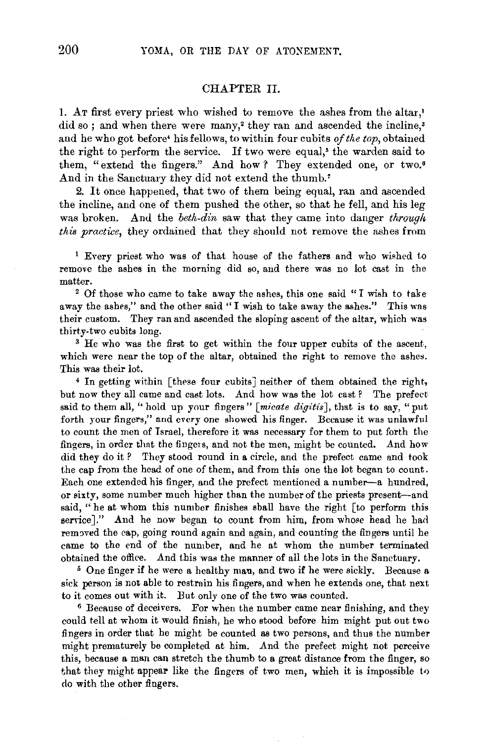## CHAPTER II.

1. AT first every priest who wished to remove the ashes from the altar,' did so; and when there were many,<sup>2</sup> they ran and ascended the incline,<sup>3</sup> and he who got before' his fellows, to within four cubits *of the top,* obtained the right to perform the service. If two were equal,• the warden said to them, "extend the fingers." And how ? They extended one, or two.<sup>6</sup> And in the Sanctuary they did not extend the thumb.'

2. It once happened, that two of them being equal, ran and ascended the incline, and one of them pushed the other, so that he fell, and his leg was broken. And the *beth-din* saw that they came into danger *through this practice*, they ordained that they should not remove the ashes from

<sup>1</sup>Every priest who was of that house of the fathers and who wished to remove the ashes in the morning did so, and there was no lot cast in the matter.<br><sup>2</sup> Of those who came to take away the ashes, this one said "I wish to take

away the ashes," and the other said "I wish to take away the ashes." This was their custom. They ran and ascended the sloping ascent of the altar, which was thirty-two cubits long.<br><sup>3</sup> He who was the first to get within the four upper cubits of the ascent,

which were near the top of the altar, obtained the right to remove the ashes. This was their lot.

4 In getting within [these four cubits] neither of them obtained the right, but now they all came and cast lots. And how was the lot cast ? The prefect said to them all, "hold up your fingers" [micate digitis], that is to say, "put forth your fingers," and every one showed his finger. Because it was unlawful to count the men of Israel, therefore it was necessary for them to put forth the fingers, in order that the fingers, and not the men, might be counted. And how did they do it *?* They stood round in a circle, and the prefect came and took the cap from the head of one of them, and from this one the lot began to count. Each one extended his finger, and the prefect mentioned a number-a hundred, or sixty, some number much higher than the number of the priests present-and said, "he at whom this number finishes sball have the right [to perform this serrice]." And he now began to count from him, from whose head he had removed the cap, going round again and again, and counting the fingers until he came to the end of the number, and he at whom the number terminated obtained the office. And this was the manner of all the lots in the Sanctuary. 5 One finger if he were a healthy man, and two if he were sickly. Because a

sick person is not able to restrain his fingers, and when he extends one, that next to it comes out with it. But only one of the two was counted. 6 Because of deceivers. For when the number came near finishing, and they

could tell at whom it would finish, he who stood before him might put out two fingers in order that he might be counted as two persons, and thus the number might prematurely be completed at him. And the prefect might not perceive this, because a man can stretch the thumb to a great distance from the finger, so that they might appear like the fingers of two men, which it is impossible to do with the other fingers.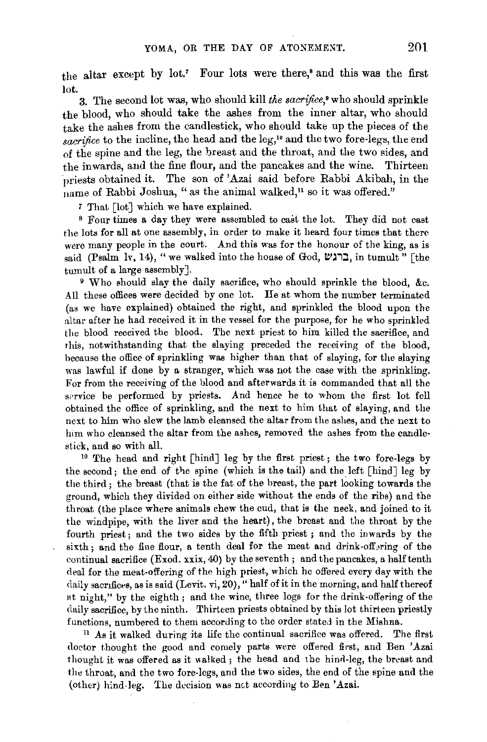the altar except by lot.' Four lots were there,• and this was the first lot.

3. The second lot was, who should kill *the sacrifice,•* who should sprinkle the blood, who should take the ashes from the inner altar, who should take the ashes from the candlestick, who should take up the pieces of the sacrifice to the incline, the head and the leg,<sup>10</sup> and the two fore-legs, the end of the spine and the leg, the breast and the throat, and the two sides, and the inwards, and the fine flour, and the pancakes and the wine. Thirteen priests obtained it. The son of 'Azai said before Rabbi Akibah, in the name of Rabbi Joshua, " as the animal walked," so it was offered."

7 That [lot] which we have explained.

s Four times a day they were assembled to cast the lot. They did not cast the lots for all at one assembly, in order to make it heard four times that there were many people in the court. And this was for the honour of the king, as is said (Psalm lv, 14), "we walked into the house of God, ברגש, in tumult" [the tumult of a large assembly].

9 Who should slay the daily sacrifice, who should sprinkle the blood, &c. All these offices were decided by one lot. He at whom the number terminated (as we have explained) obtained the right, and sprinkled the blood upon the altar after he had received it in the vessel for the purpose, for he who sprinkled the blood received the blood. The next priest to him killed the sacrifice, and this, notwithstanding that the slaying preceded the receiving of the blood, because the office of sprinkling was higher than that of slaying, for the slaying was lawful if done by a stranger, which was not the case with the sprinkling. For from the receiving of the blood and afterwards it is commanded that all the service be performed by priests. And hence he to whom the first lot fell obtained the office of sprinkling, and the next to him that of slaying, and the next to him who slew the lamb cleansed the altar from the ashes, and the next to him who cleansed the altar from the ashes, removed the ashes from the candlestick, and so with all. 10 The head and right [hind] leg by the first priest; the *two* fore-legs by

the second; the end of the spine (which is the tail) and the left  $\lceil \operatorname{hind} \rceil$  leg by the third; the breast (that is the fat of the breast, the part looking towards the ground, which they divided on either side without the ends of the ribs) and the throat (the place where animals chew the cud, that is the neck, and joined to it the windpipe, with the liver and the heart), the breast and the throat by the fourth priest; and the two sides by the fifth priest ; and the inwards by the sixth; and the fine flour, a tenth deal for the meat and drink-offering of the continual sacrifice (Exod. xxix, 40) by the seventh ; and the pancakes, a half tenth deal for the meat-offering of the high priest, which he offered every day with the daily sacrifices, as is said (Levit. vi, 20)," half of it in the morning, and half thereof at night," by the eighth; and the wine, three logs for the drink-offering of the daily sacrifice, by the ninth. Thirteen priests obtained by this lot thirteen priestly functions, numbered to them according to the order stated in the Mishna.

 $11$  As it walked during its life the continual sacrifice was offered. The first doctor thought the good and comely parts were offered first, and Ben 'Azai thought it was offered as it walked; the head and the hind-leg, the breast and the throat, and the two fore-legs, and the *two* sides, the end of the spine and the (other) hind-leg. The decision was net according to Ben 'Azai.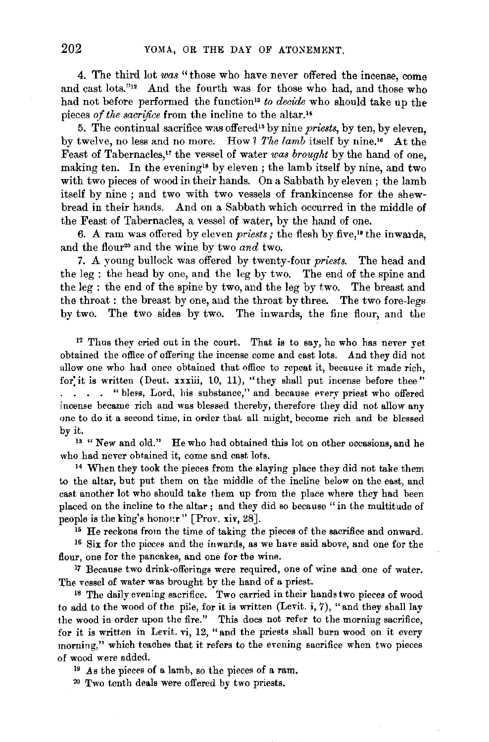4. The third lot *was* "those who have never offered the incense, come and cast lots."12 And the fourth was for those who had, and those who had not before performed the function<sup>13</sup> to decide who should take up the pieces *of the sacrifice* from the incline to the altar."

5. The continual sacrifice was offered" by nine *priests,* by ten, by eleven, by twelve, no less and no more. How *1 The lamb* itself by nine.'" At the Feast of Tabernacles,<sup>17</sup> the vessel of water *was brought* by the hand of one, making ten. In the evening<sup>18</sup> by eleven; the lamb itself by nine, and two with two pieces of wood in their hands. On a Sabbath by eleven; the lamb itself by nine ; and two with two vessels of frankincense for the shewbread in their hands. And on a Sabbath which occurred in the middle of the Feast of Tabernacles, a vessel of water, by the hand of one.

6. A ram was offered by eleven *priests*; the flesh by five,<sup>19</sup> the inwards, and the flour20 and the wine by two *and* two.

7. A young bullock was offered by twenty-four *priests.* The head and the leg : the head by one, and the leg by two. The end of the spine and the leg : the end of the spine by two, and the leg by two. The breast and the throat : the breast by one, and the throat by three. The two fore-legs by two. The two sides by two. The inwards, the fine flour, and the

 $12$  Thus they cried out in the court. That is to say, he who has never yet obtained the office of offering the incense come and cast lots. And they did not allow one who had once obtained that office to repeat it, became it made rich, for it is written (Deut. xxxiii, 10, 11), "they shall put incense before thee" . . . "bless, Lord, his substance," and because every priest who offered incense became rich and was blessed thereby, therefore they did not allow any one to do it a second time, in order that all might. become rich and be blessed by it.

<sup>13</sup> "New and old." He who had obtained this lot on other occasions, and he who had never obtained it, come and cast lots.<br><sup>14</sup> When they took the pieces from the slaying place they did not take them

to the altar, but put them on the middle of the incline below on the east, and cast another lot who should take them up from the place where they had been placed on the incline to the altar; and they did so because "in the multitude of people is the king's honour" [Prov. xiv, 28].<br><sup>15</sup> He reckons from the time of taking the pieces of the sacrifice and onward.<br><sup>16</sup> Six for the picces and the inwards, as we have said above, and one for the

flour, one for the pancakes, and one for the wine.

<sup>1</sup>7 Because two drink-offerings were required, one of wine and one of water. The vessel of water was brought by the hand of a priest.

<sup>18</sup> The daily evening sacrifice. Two carried in their hands two pieces of wood to add to the wood of the pile, for it is written (Levit. i, 7), "and they shall lay the wood in order upon the fire." This does not refer to the morning sacrifice, for it is written in Levit. vi, 12, "and the priests shall burn wood on it every morning," which teaches that it refers to the evening sacrifice when two pieces of wood were added.

 $19$  As the pieces of a lamb, so the pieces of a ram.

20 Two tenth deals were offered by two priests.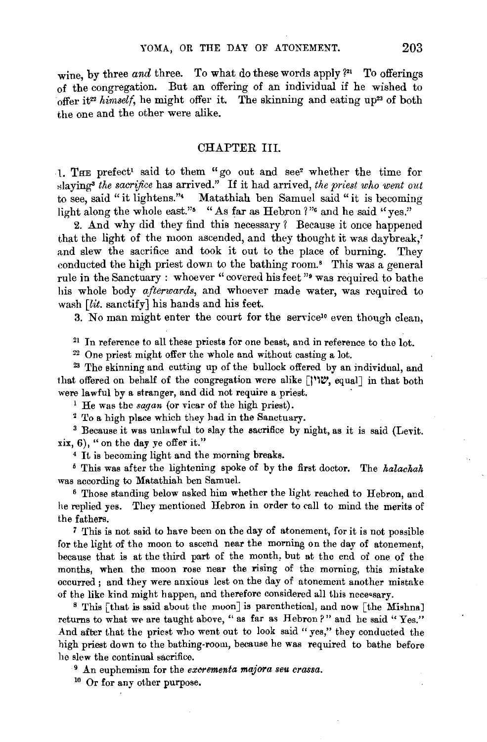wine, by three *and* three. To what do these words apply ?<sup>21</sup> To offerings of the congregation. But an offering of an individual if he wished to offer it22 *himself,* he might offer it. The skinning and eating up23 of both the one and the other were alike.

## CHAPTER III.

1. THE prefect<sup>1</sup> said to them "go out and see<sup>2</sup> whether the time for ~laying" *the sacrifice* has arrived." If it had arrived, *the priest who went out*  to see, said "it lightens."' Matathiah ben Samuel said "it is becoming light along the whole east."<sup>5</sup> "As far as Hebron?"<sup>6</sup> and he said "yes."

2. And why did they find this necessary? Because it once happened that the light of the moon ascended, and they thought it was daybreak,' and slew the sacrifice and took it out to the place of burning. They conducted the high priest down to the bathing room.<sup>8</sup> This was a general rule in the Sanctuary : whoever "covered his feet "• was required to bathe his whole body *afterwards,* and whoever made water, was required to wash [lit. sanctify] his hands and his feet.

3. No man might enter the court for the service<sup>10</sup> even though clean,

 $21$  In reference to all these priests for one beast, and in reference to the lot.

<sup>22</sup> One priest might offer the whole and without casting a lot.<br><sup>23</sup> The skinning and cutting up of the bullock offered by an individual, and that offered on behalf of the congregation were alike  $[$  $\mathcal{V}\mathcal{V}\mathcal{C}$ , equal] in that both were lawful by a stranger, and did not require a priest.<br>
<sup>1</sup> He was the *sagan* (or vicar of the high priest).<br>
<sup>2</sup> To a high place which they had in the Sanctuary.<br>
<sup>3</sup> Because it was unlawful to slay the sacrifice by n

xix, 6), " on the day ye offer it."

' It is becoming light and the morning breaks. 5 This was after the lightening spoke of by the first doctor. The *kalackak*  was according to Matathiah ben Samuel.

6 Those standing below asked him whether the light reached to Hebron, and he replied yes. They mentioned Hebron in order to call to mind the merits of the fathers.

7 'Ihis is not said to have been on the day of atonement, for it is not possible for the light of the moon to ascend near the morning on the day of atonement, because that is at the third part of the month, but at the end of one of the months, when the moon rose near the rising of the morning, this mistake occurred; and they were anxious lest on the day of atonement another mistake of the like kind might happen, and therefore considered all this nece•sary. 8 This [that is said about the moon] is parenthetical, and now [the Mishna]

returns to what we are taught above, " as far as Hebron?" and he said "Yes." And after that the priest who went out to look said "yes," they conducted the high priest down to the bathing-room, because he was required to bathe before he slew the continual sacrifice.

9 An euphemism for the *excrementa majora seu crassa.* 

10 Or for any other purpose.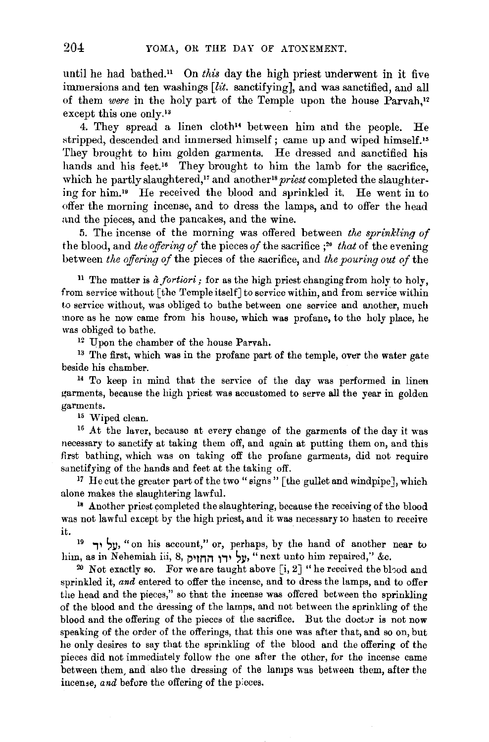until he had bathed." On *this* day the high priest underwent in it five immersions and ten washings  $[lit.$  sanctifying], and was sanctified, and all of them *were* in the holy part of the Temple upon the house Parvah,12 except this one only.<sup>13</sup>

4. They spread a linen cloth" between him and the people. He stripped, descended and immersed himself; came up and wiped himself.<sup>15</sup> They brought to him golden garments. He dressed and sanctified his hands and his feet.<sup>16</sup> They brought to him the lamb for the sacrifice, which he partly slaughtered,<sup>17</sup> and another<sup>18</sup> *priest* completed the slaughtering for him. 19 He received the blood and svrinkled it. He went in to offer the morning incense, and to dress the lamps, and to offer the head and the pieces, and the pancakes, and the wine.

5. The incense of the morning was offered between *the sprinkling of*  the blood, and *the offering of* the pieces *of* the sacrifice ; <sup>20</sup>*that* of the evening between *the offering of* the pieces of the sacrifice, and *the pouring out of* the

<sup>11</sup> The matter is *à fortiori*; for as the high priest changing from holy to holy, from service without [the Temple itself] to service within, and from service within to service without, was obliged to bathe between one service and another, much more as he now came from his house, which was profane, to the holy place, he was obliged to bathe.<br><sup>12</sup> Upon the chamber of the house Parvah.<br><sup>13</sup> The first, which was in the profane part of the temple, over the water gate

beside his chamber.<br><sup>14</sup> To keep in mind that the service of the day was performed in linen

garments, because the high priest was accustomed to serve all the year in golden garments.<br><sup>15</sup> Wiped clean.<br><sup>16</sup> At the laver, because at every change of the garments of the day it was

necessary to sanctify at taking them off, and again at putting them on, and this first bathing, which was on taking off the profane garments, did not require sanctifying of the hands and feet at the taking off.

<sup>17</sup> He cut the greater part of the two "signs" [the gullet and windpipe], which alone makes the slaughtering lawful. 18 Another priest completed the slaughtering, because the receiving of the blood

was not lawful except by the high priest, and it was necessary to hasten to receive

it.<br>19 y, "on his account," or, perhaps, by the hand of another near to<br>19 y, "next unto him repaired," &c.

<sup>20</sup> Not exactly so. For we are taught above [i, 2] "he received the blood and sprinkled it, *and* entered to offer the incense, and to dress the lamps, and to offer the head and the pieces," so that the incense was offered between the sprinkling of the blood and the dressing of the lamps, and not between the sprinkling of the blood and the offering of the pieces of the sacrifice. But the doctor is not now speaking of the order of the offerings, that this one was after that, and so on, but he only desires to say that the sprinkling of the blood and the offering of the pieces did not immediately follow the one after the other, for the incense came between them, and also the dressing of the lamps was between them, after the inceme, *and* before the offering of the pieces.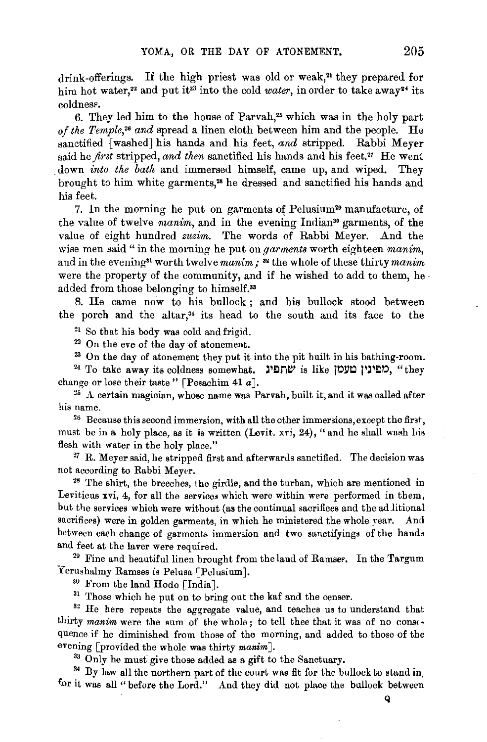drink-offerings. If the high priest was old or weak,<sup>21</sup> they prepared for him hot water,<sup>22</sup> and put it<sup>23</sup> into the cold *water*, in order to take away<sup>24</sup> its coldnes?.

6. They led him to the house of Parvah,<sup>25</sup> which was in the holy part *of the Temple*,<sup>26</sup> and spread a linen cloth between him and the people. He sanctified [washed] his hands and his feet, *and* stripped. Rabbi Meyer said he *first* stripped, and then sanctified his hands and his feet.<sup>27</sup> He went down *into the bath* and immersed himself, came up, and wiped. They brought to him white garments,•• he dressed and sanctified his hands and his feet.

7. In the morning he put on garments of Pelusium<sup>29</sup> manufacture, of the value of twelve *manim*, and in the evening Indian<sup>30</sup> garments, of the value of eight hundred *zuzim.* The words of Rabbi Meyer. And the wise men said " in the morning he put on *garments* worth eighteen *manim*, and in the evening<sup>31</sup> worth twelve *manim*; <sup>32</sup> the whole of these thirty *manim* were the property of the community, and if he wished to add to them, he  $\cdot$ added from those belonging to himself.<sup>33</sup>

8. He came now to his bullock ; and his bullock stood between the porch and the altar, $34$  its head to the south and its face to the

<sup>21</sup> So that his body was cold and frigid.<br><sup>22</sup> On the eve of the day of atonement.<br><sup>23</sup> On the day of atonement they put it into the pit huilt in his bathing-room.<br><sup>24</sup> To take away its coldness somewhat. שתפינ שנכון שנ

change or lose their taste " [Pesachim 41  $a$ ].

<sup>25</sup> A certain magician, whose name was Parvah, built it, and it was called after his name.

 $26$  Because this second immersion, with all the other immersions, except the first, must be in a holy place, as it is written (Levit. xvi, 24), "and he shall wash his flesh with water in the holy place."

 $27$  R. Meyer said, he stripped first and afterwards sanctified. The decision was not according to Rabbi Meyer. 28 The shirt, the breeches, the girdle, and the turban, which are mentioned in

Leviticus xvi, 4, for all the services which were within were performed in them, but the services which were without (as the continual sacrifices and the adlitional sacrifices) were in golden garments, in which he ministered the whole year. And between each change of garments immersion and two sanctifyings of the hands and feet at the laver were required. <sup>29</sup> Fine and benutiful linen brought from the land of Ramses. In the Targum

Yerushalmy Ramses is Pelusa [Pelusium].<br><sup>30</sup> From the land Hodo [India].

<sup>31</sup> Those which he put on to bring out the kaf and the censer.

<sup>32</sup> He here repeats the aggregate value, and teaches us to understand that thirty *manim* were the sum of the whole; to tell thee that it was of no consequence if he diminished from those of the morning, and added to those of the evening [provided the whole was thirty *manim].* 

<sup>33</sup> Only he must give those added as a gift to the Sanctuary.<br><sup>34</sup> By law all the northern part of the court was fit for the bullock to stand in. for it was all " before the Lord." And they did not place the bullock between

Q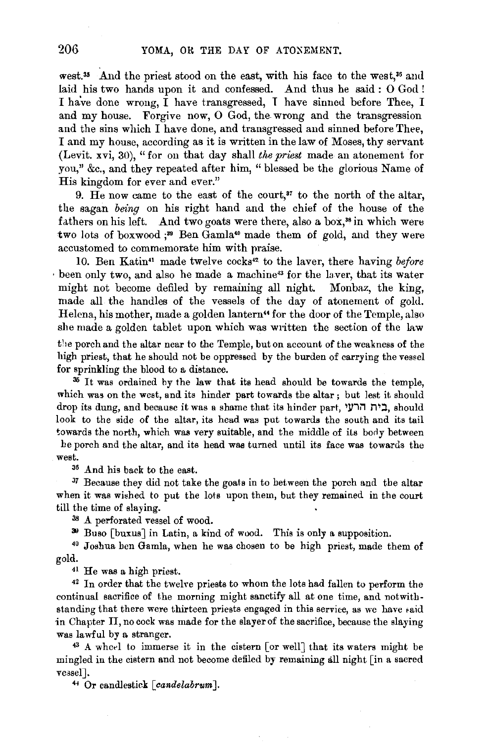west.<sup>35</sup> And the priest stood on the east, with his face to the west,<sup>36</sup> and laid his two hands upon it and confessed. And thus he said : 0 God ! I have done wrong,  $\overline{I}$  have transgressed,  $I$  have sinned before Thee, I and my house. Forgive now, O God, the wrong and the transgression and the sins which I have done, and transgressed and sinned before Thee, I and my house, according as it is written in the law of Moses, thy servant (Levit. xvi, 30), " for on that day shall *the priest* made an atonement for you," &c., and they repeated after him, "blessed be the glorious Name of His kingdom for ever and ever."

9. He now came to the east of the court,<sup>37</sup> to the north of the altar, the sagan *being* on his right hand and the chief of the house of the fathers on his left. And two goats were there, also a box,<sup>38</sup> in which were two lots of boxwood  $:$ <sup>39</sup> Ben Gamla<sup>40</sup> made them of gold, and they were accustomed to commemorate him with praise.

10. Ben Katin" made twelve cocks'" to the laver, there having *before*  been only two, and also he made a machine<sup>13</sup> for the laver, that its water might not become defiled by remaining all night. Monbaz, the king, made all the handles of the vessels of the day of atonement of gold. Helena, his mother, made a golden lantern" for the door of the Temple, also she made a golden tablet upon which was written the section of the law

the porch and the altar near to the Temple, buton account of the weakness of the high priest, that he should not be oppressed by the burden of carrying the vessel for sprinkling the blood to a distance.<br> $36$  It was ordained by the law that its head should be towards the temple,

which was on the west, and its hinder part towards the altar ; but lest it should drop its dung, and because it was a shame that its hinder part, ' look to the side of the altar, its head was put towards the south and its tail towards the north, which was very suitable, and the middle of its body between

he porch and the altar, and its head was turned until its face was towards the west.

36 And his back to the east.

 $37$  Because they did not take the goats in to between the porch and the altar when it was wished to put the lots upon them, but they remained in the court till the time of slaying.

<sup>38</sup> A perforated vessel of wood.<br><sup>39</sup> Buso [buxus] in Latin, a kind of wood. This is only a supposition.<br><sup>40</sup> Joshua ben Gamla, when he was chosen to be high priest, made them of gold.

<sup>41</sup> He was a high priest.<br><sup>42</sup> In order that the twelve priests to whom the lots had fallen to perform the continual sacrifice of the morning might sanctify all at one time, and notwithstanding that there were thirteen priests engaged in this service, as we have said in Chapter II, no cock was made for the slayer of the sacrifice, because the slaying was lawful by a stranger.<br><sup>43</sup> A wheel to immerse it in the cistern [or well] that its waters might be

mingled in the cistern and not become defiled by remaining all night [in a sacred ve3sel]. 4' Or candlestick *[candelabrum* J.